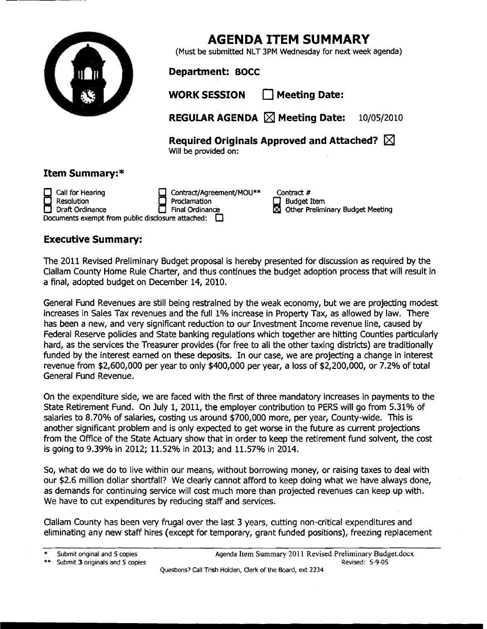

## **AGENDA ITEM SUMMARY**

(Must be submitted NLT 3PM Wednesday for next **week** agenda)

## **Department: BOCC**

**WORK SESSION Deeting Date:** 

**REGULAR AGENDA Meeting Date: 10/05/2010** 

**Required Originals Approved and Attached?**  Will be provided on:

## **Item Summary:\***

Call for Hearing Contract/Agreement/MOU\*\* **C** Resolution<br> **Proclamation**<br>
Prinal Ordinance<br>
Prinal Ordinance Documents exempt from public disclosure attached:  $\Box$ 

Contract #  $\Box$  Budget Item Other Preliminary Budget Meeting

## **Executive Summary:**

The 2011 Revised Preliminary Budget proposal is hereby presented for discussion as required by the Clallam County Home Rule Charter, and thus continues the budget adoption process that will result in a final, adopted budget on December 14, 2010.

General Fund Revenues are still being restrained by the weak economy, but we are projecting modest increases in Sales Tax revenues and the full 1% increase in Property Tax, as allowed by law. There has been a new, and very significant reduction to our Investment Income revenue line, caused by Federal Reserve policies and State banking regulations which together are hitting Counties particularly hard, as the services the Treasurer provides (for free to all the other taxing districts) are traditionally funded by the interest earned on these deposits. In our case, we are projecting a change in interest revenue from \$2,6OO,OOO per year to only \$400,000 per year, a loss of \$2,200,000, or 7.2% of total General Fund Revenue.

On the expenditure side, we are faced with the first of three mandatory increases in payments to the State Retirement Fund. On July 1, 2011, the employer contribution to PERS will go from 5.31% of salaries to 8.70% of salaries, costing us around \$700,000 more, per year, County-wide. This is another significant problem and is only expected to get worse in the future as current projections from the Office of the State Actuary show that in order to keep the retirement fund solvent, the cost is going to 9.39% in 2012; 11.52% in 2013; and 11.57% in 2014.

So, what do we do to live within our means, without borrowing money, or raising taxes to deal with our \$2.6 million dollar shortfall? We clearly cannot afford to keep doing what we have always done, as demands for continuing service will cost much more than projected revenues can keep up with. We have to cut expenditures by reducing staff and services.

Clallam County has been very frugal over the last 3 years, cutting non-critical expenditures and eliminating any new staff hires (except for temporary, grant funded positions), freezing replacement